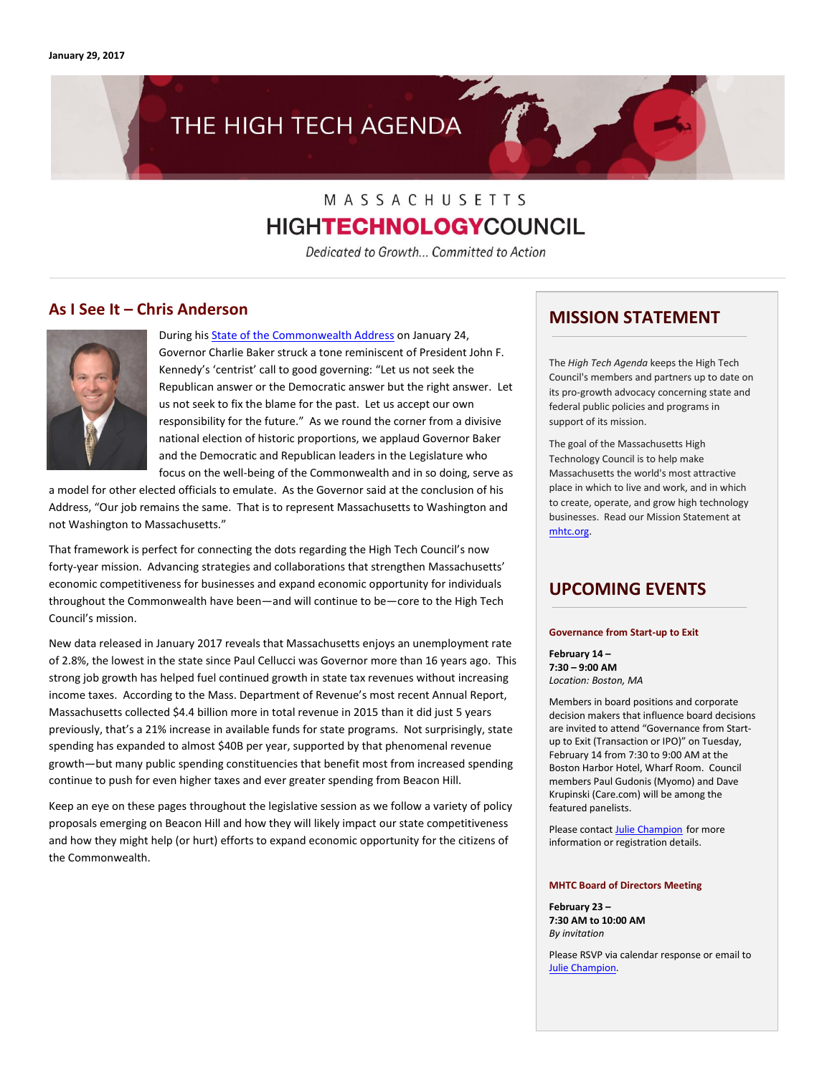# THE HIGH TECH AGENDA

# MASSACHUSETTS **HIGHTECHNOLOGYCOUNCIL**

Dedicated to Growth... Committed to Action

### **As I See It – Chris Anderson**



During his [State of the Commonwealth Address](http://www.mhtc.org/wp-content/uploads/2017/01/State-of-the-Commonwealth-Address-2017_01242017.pdf) on January 24, Governor Charlie Baker struck a tone reminiscent of President John F. Kennedy's 'centrist' call to good governing: "Let us not seek the Republican answer or the Democratic answer but the right answer. Let us not seek to fix the blame for the past. Let us accept our own responsibility for the future." As we round the corner from a divisive national election of historic proportions, we applaud Governor Baker and the Democratic and Republican leaders in the Legislature who focus on the well-being of the Commonwealth and in so doing, serve as

a model for other elected officials to emulate. As the Governor said at the conclusion of his Address, "Our job remains the same. That is to represent Massachusetts to Washington and not Washington to Massachusetts."

That framework is perfect for connecting the dots regarding the High Tech Council's now forty-year mission. Advancing strategies and collaborations that strengthen Massachusetts' economic competitiveness for businesses and expand economic opportunity for individuals throughout the Commonwealth have been—and will continue to be—core to the High Tech Council's mission.

New data released in January 2017 reveals that Massachusetts enjoys an unemployment rate of 2.8%, the lowest in the state since Paul Cellucci was Governor more than 16 years ago. This strong job growth has helped fuel continued growth in state tax revenues without increasing income taxes. According to the Mass. Department of Revenue's most recent Annual Report, Massachusetts collected \$4.4 billion more in total revenue in 2015 than it did just 5 years previously, that's a 21% increase in available funds for state programs. Not surprisingly, state spending has expanded to almost \$40B per year, supported by that phenomenal revenue growth—but many public spending constituencies that benefit most from increased spending continue to push for even higher taxes and ever greater spending from Beacon Hill.

Keep an eye on these pages throughout the legislative session as we follow a variety of policy proposals emerging on Beacon Hill and how they will likely impact our state competitiveness and how they might help (or hurt) efforts to expand economic opportunity for the citizens of the Commonwealth.

### **MISSION STATEMENT**

The *High Tech Agenda* keeps the High Tech Council's members and partners up to date on its pro-growth advocacy concerning state and federal public policies and programs in support of its mission.

The goal of the Massachusetts High Technology Council is to help make Massachusetts the world's most attractive place in which to live and work, and in which to create, operate, and grow high technology businesses. Read our Mission Statement at [mhtc.org.](http://www.mhtc.org/) 

# **UPCOMING EVENTS**

#### **Governance from Start-up to Exit**

**February 14 – 7:30 – 9:00 AM** *Location: Boston, MA*

Members in board positions and corporate decision makers that influence board decisions are invited to attend "Governance from Startup to Exit (Transaction or IPO)" on Tuesday, February 14 from 7:30 to 9:00 AM at the Boston Harbor Hotel, Wharf Room. Council members Paul Gudonis (Myomo) and Dave Krupinski (Care.com) will be among the featured panelists.

Please contact **Julie Champion** for more information or registration details.

#### **MHTC Board of Directors Meeting**

**February 23 – 7:30 AM to 10:00 AM** *By invitation*

Please RSVP via calendar response or email to [Julie Champion.](mailto:mail%20to:%20julie@mhtc.org)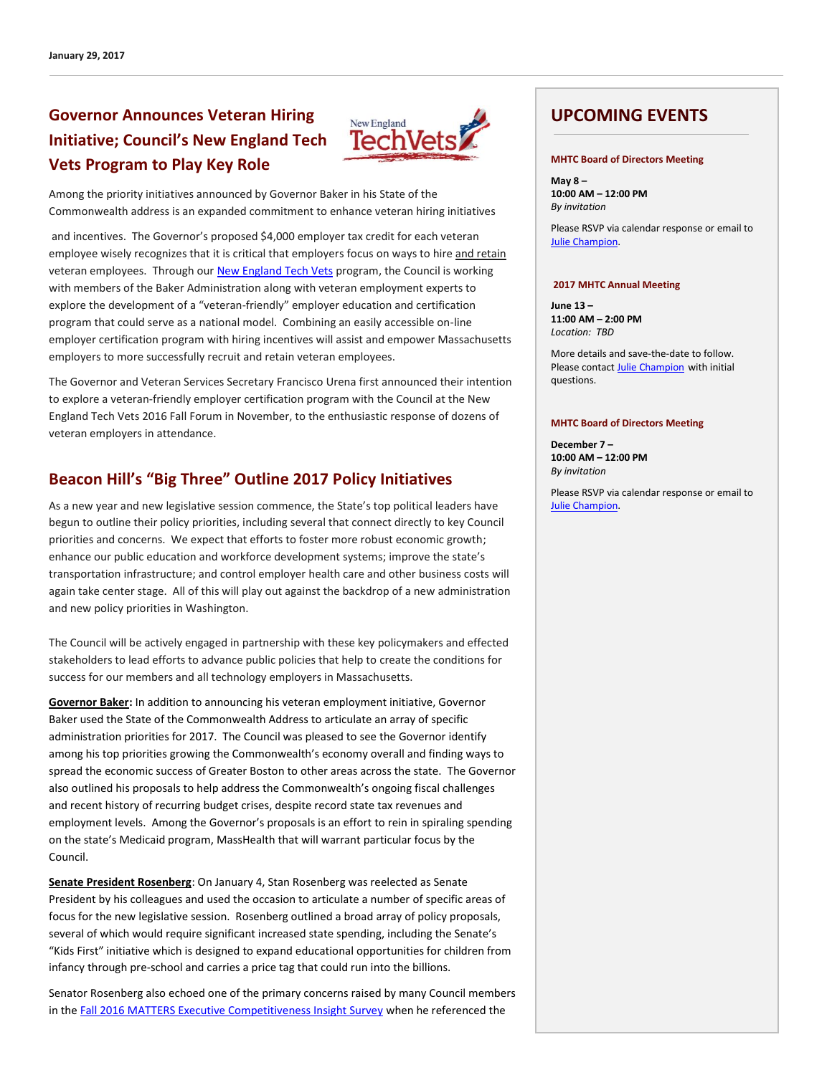# **Governor Announces Veteran Hiring Initiative; Council's New England Tech Vets Program to Play Key Role**



Among the priority initiatives announced by Governor Baker in his State of the Commonwealth address is an expanded commitment to enhance veteran hiring initiatives

and incentives. The Governor's proposed \$4,000 employer tax credit for each veteran employee wisely recognizes that it is critical that employers focus on ways to hire and retain veteran employees. Through ou[r New England Tech Vets](http://www.newenglandtechvets.org/) program, the Council is working with members of the Baker Administration along with veteran employment experts to explore the development of a "veteran-friendly" employer education and certification program that could serve as a national model. Combining an easily accessible on-line employer certification program with hiring incentives will assist and empower Massachusetts employers to more successfully recruit and retain veteran employees.

The Governor and Veteran Services Secretary Francisco Urena first announced their intention to explore a veteran-friendly employer certification program with the Council at the New England Tech Vets 2016 Fall Forum in November, to the enthusiastic response of dozens of veteran employers in attendance.

# **Beacon Hill's "Big Three" Outline 2017 Policy Initiatives**

As a new year and new legislative session commence, the State's top political leaders have begun to outline their policy priorities, including several that connect directly to key Council priorities and concerns. We expect that efforts to foster more robust economic growth; enhance our public education and workforce development systems; improve the state's transportation infrastructure; and control employer health care and other business costs will again take center stage. All of this will play out against the backdrop of a new administration and new policy priorities in Washington.

The Council will be actively engaged in partnership with these key policymakers and effected stakeholders to lead efforts to advance public policies that help to create the conditions for success for our members and all technology employers in Massachusetts.

**Governor Baker:** In addition to announcing his veteran employment initiative, Governor Baker used the State of the Commonwealth Address to articulate an array of specific administration priorities for 2017. The Council was pleased to see the Governor identify among his top priorities growing the Commonwealth's economy overall and finding ways to spread the economic success of Greater Boston to other areas across the state. The Governor also outlined his proposals to help address the Commonwealth's ongoing fiscal challenges and recent history of recurring budget crises, despite record state tax revenues and employment levels. Among the Governor's proposals is an effort to rein in spiraling spending on the state's Medicaid program, MassHealth that will warrant particular focus by the Council.

**Senate President Rosenberg**: On January 4, Stan Rosenberg was reelected as Senate President by his colleagues and used the occasion to articulate a number of specific areas of focus for the new legislative session. Rosenberg outlined a broad array of policy proposals, several of which would require significant increased state spending, including the Senate's "Kids First" initiative which is designed to expand educational opportunities for children from infancy through pre-school and carries a price tag that could run into the billions.

Senator Rosenberg also echoed one of the primary concerns raised by many Council members in the [Fall 2016 MATTERS Executive Competitiveness Insight Survey](http://matters.mhtc.org/resources/MATTERS_Executive_Competitiveness_Insight_Survey_Fall_2016.pdf) when he referenced the

# **UPCOMING EVENTS**

#### **MHTC Board of Directors Meeting**

**May 8 – 10:00 AM – 12:00 PM** *By invitation*

Please RSVP via calendar response or email to [Julie Champion.](mailto:mail%20to:%20julie@mhtc.org)

#### **2017 MHTC Annual Meeting**

**June 13 – 11:00 AM – 2:00 PM** *Location: TBD*

More details and save-the-date to follow. Please contac[t Julie Champion](mailto:mail%20to:%20julie@mhtc.org) with initial questions.

#### **MHTC Board of Directors Meeting**

**December 7 – 10:00 AM – 12:00 PM** *By invitation*

Please RSVP via calendar response or email to [Julie Champion.](mailto:mail%20to:%20julie@mhtc.org)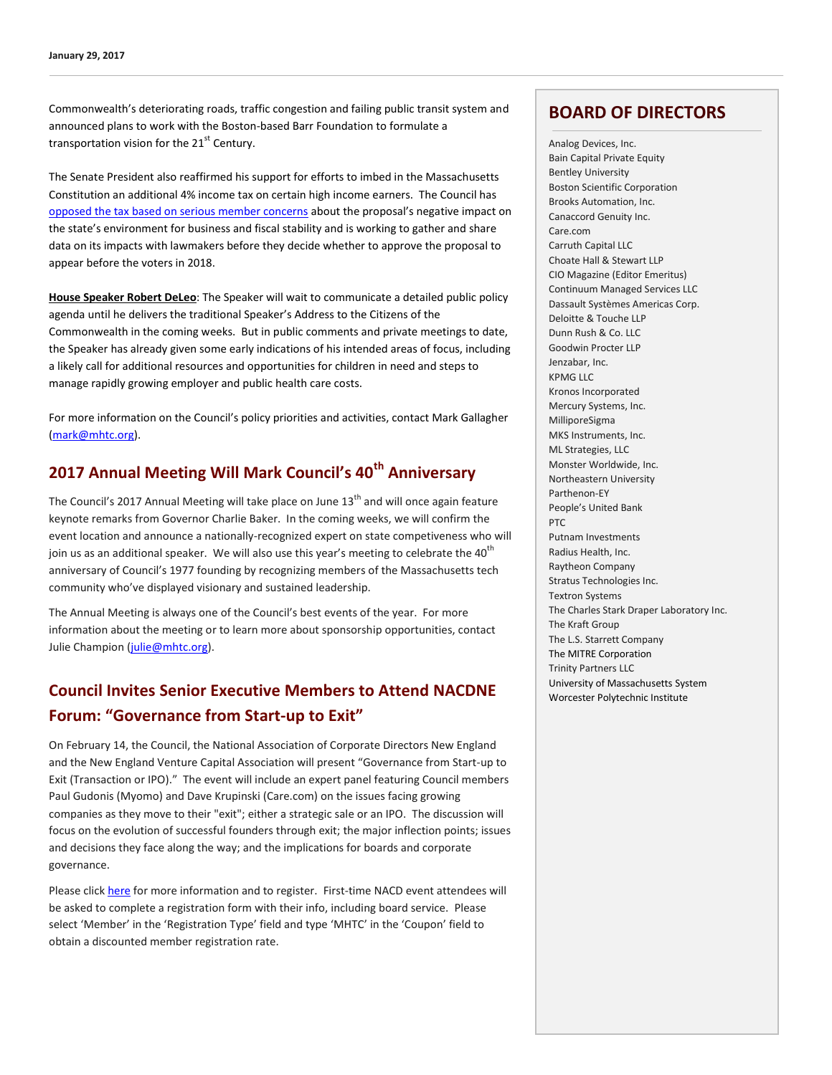Commonwealth's deteriorating roads, traffic congestion and failing public transit system and announced plans to work with the Boston-based Barr Foundation to formulate a transportation vision for the  $21<sup>st</sup>$  Century.

The Senate President also reaffirmed his support for efforts to imbed in the Massachusetts Constitution an additional 4% income tax on certain high income earners. The Council has [opposed the tax based on serious member concerns](http://www.mhtc.org/wp-content/uploads/2016/05/MHTC_Letter-to-Senate-re-Graduated-Income-Tax-5.17.16-FINAL-PDF.pdf) about the proposal's negative impact on the state's environment for business and fiscal stability and is working to gather and share data on its impacts with lawmakers before they decide whether to approve the proposal to appear before the voters in 2018.

**House Speaker Robert DeLeo**: The Speaker will wait to communicate a detailed public policy agenda until he delivers the traditional Speaker's Address to the Citizens of the Commonwealth in the coming weeks. But in public comments and private meetings to date, the Speaker has already given some early indications of his intended areas of focus, including a likely call for additional resources and opportunities for children in need and steps to manage rapidly growing employer and public health care costs.

For more information on the Council's policy priorities and activities, contact Mark Gallagher [\(mark@mhtc.org\)](mailto:mark@mhtc.org).

# **2017 Annual Meeting Will Mark Council's 40th Anniversary**

The Council's 2017 Annual Meeting will take place on June  $13<sup>th</sup>$  and will once again feature keynote remarks from Governor Charlie Baker. In the coming weeks, we will confirm the event location and announce a nationally-recognized expert on state competiveness who will join us as an additional speaker. We will also use this year's meeting to celebrate the 40<sup>th</sup> anniversary of Council's 1977 founding by recognizing members of the Massachusetts tech community who've displayed visionary and sustained leadership.

The Annual Meeting is always one of the Council's best events of the year. For more information about the meeting or to learn more about sponsorship opportunities, contact Julie Champion [\(julie@mhtc.org\)](mailto:julie@mhtc.org).

# **Council Invites Senior Executive Members to Attend NACDNE Forum: "Governance from Start-up to Exit"**

On February 14, the Council, the National Association of Corporate Directors New England and the New England Venture Capital Association will present "Governance from Start-up to Exit (Transaction or IPO)." The event will include an expert panel featuring Council members Paul Gudonis (Myomo) and Dave Krupinski (Care.com) on the issues facing growing companies as they move to their "exit"; either a strategic sale or an IPO. The discussion will focus on the evolution of successful founders through exit; the major inflection points; issues and decisions they face along the way; and the implications for boards and corporate governance.

Please clic[k here](https://newengland.nacdonline.org/Events/EventDetail.cfm?ItemNumber=30411) for more information and to register. First-time NACD event attendees will be asked to complete a registration form with their info, including board service. Please select 'Member' in the 'Registration Type' field and type 'MHTC' in the 'Coupon' field to obtain a discounted member registration rate.

# **BOARD OF DIRECTORS**

Analog Devices, Inc. Bain Capital Private Equity Bentley University Boston Scientific Corporation Brooks Automation, Inc. Canaccord Genuity Inc. Care.com Carruth Capital LLC Choate Hall & Stewart LLP CIO Magazine (Editor Emeritus) Continuum Managed Services LLC Dassault Systèmes Americas Corp. Deloitte & Touche LLP Dunn Rush & Co. LLC Goodwin Procter LLP Jenzabar, Inc. KPMG LLC Kronos Incorporated Mercury Systems, Inc. MilliporeSigma MKS Instruments, Inc. ML Strategies, LLC Monster Worldwide, Inc. Northeastern University Parthenon-EY People's United Bank PTC Putnam Investments Radius Health, Inc. Raytheon Company Stratus Technologies Inc. Textron Systems The Charles Stark Draper Laboratory Inc. The Kraft Group The L.S. Starrett Company The MITRE Corporation Trinity Partners LLC University of Massachusetts System Worcester Polytechnic Institute